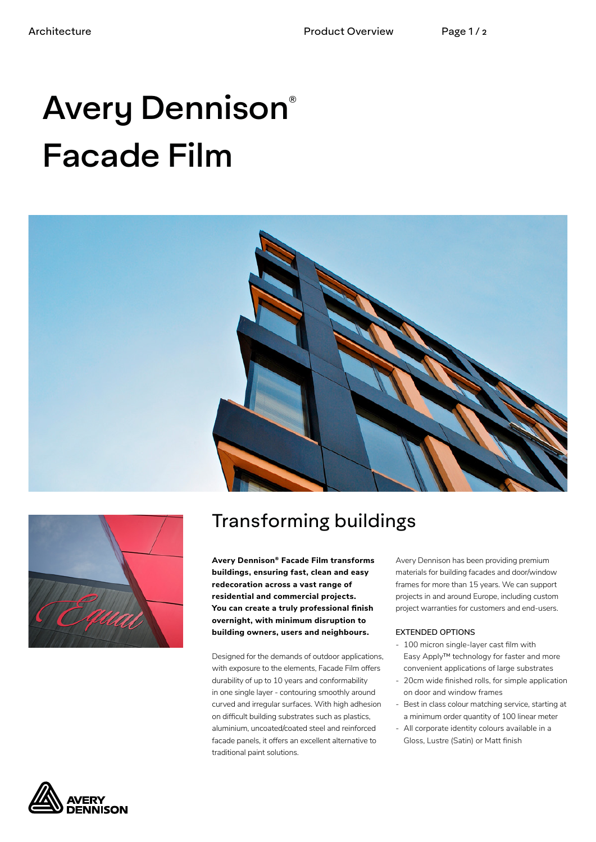# Avery Dennison® Facade Film





# Transforming buildings

**Avery Dennison® Facade Film transforms buildings, ensuring fast, clean and easy redecoration across a vast range of residential and commercial projects. You can create a truly professional finish overnight, with minimum disruption to building owners, users and neighbours.**

Designed for the demands of outdoor applications, with exposure to the elements, Facade Film offers durability of up to 10 years and conformability in one single layer - contouring smoothly around curved and irregular surfaces. With high adhesion on difficult building substrates such as plastics, aluminium, uncoated/coated steel and reinforced facade panels, it offers an excellent alternative to traditional paint solutions.

Avery Dennison has been providing premium materials for building facades and door/window frames for more than 15 years. We can support projects in and around Europe, including custom project warranties for customers and end-users.

#### **EXTENDED OPTIONS**

- 100 micron single-layer cast film with Easy Apply™ technology for faster and more convenient applications of large substrates
- 20cm wide finished rolls, for simple application on door and window frames
- Best in class colour matching service, starting at a minimum order quantity of 100 linear meter
- All corporate identity colours available in a Gloss, Lustre (Satin) or Matt finish